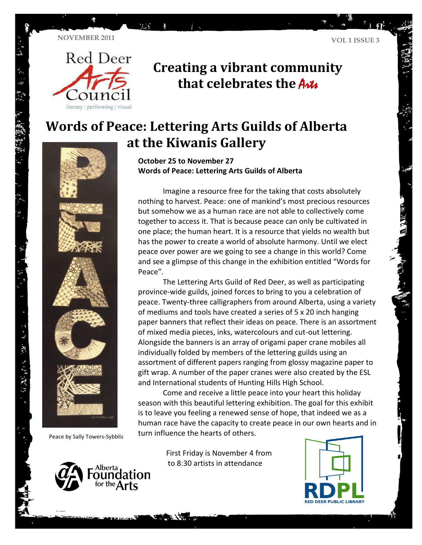**NOVEMBER 2011 VOL 1 ISSUE 3**

 $\mathbb{Z}^2$ 



### **Creating a vibrant community**  that celebrates the Arts

## **Words of Peace: Lettering Arts Guilds of Alberta at the Kiwanis Gallery**



てんぎ 、深水 きょまた深い どう

Peace by Sally Towers-Sybblis



**October 25 to November 27 Words of Peace: Lettering Arts Guilds of Alberta**

Imagine a resource free for the taking that costs absolutely nothing to harvest. Peace: one of mankind's most precious resources but somehow we as a human race are not able to collectively come together to access it. That is because peace can only be cultivated in one place; the human heart. It is a resource that yields no wealth but has the power to create a world of absolute harmony. Until we elect peace over power are we going to see a change in this world? Come and see a glimpse of this change in the exhibition entitled "Words for Peace".

The Lettering Arts Guild of Red Deer, as well as participating province-wide guilds, joined forces to bring to you a celebration of peace. Twenty-three calligraphers from around Alberta, using a variety of mediums and tools have created a series of 5 x 20 inch hanging paper banners that reflect their ideas on peace. There is an assortment of mixed media pieces, inks, watercolours and cut-out lettering. Alongside the banners is an array of origami paper crane mobiles all individually folded by members of the lettering guilds using an assortment of different papers ranging from glossy magazine paper to gift wrap. A number of the paper cranes were also created by the ESL and International students of Hunting Hills High School.

Come and receive a little peace into your heart this holiday season with this beautiful lettering exhibition. The goal for this exhibit is to leave you feeling a renewed sense of hope, that indeed we as a human race have the capacity to create peace in our own hearts and in turn influence the hearts of others.

> First Friday is November 4 from to 8:30 artists in attendance

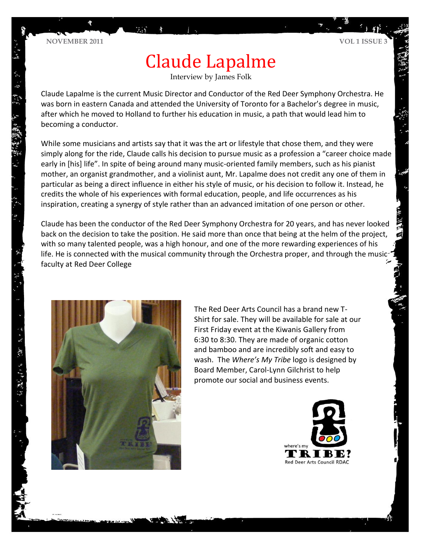1. 源省 编译等 201 年

# Claude Lapalme

Interview by James Folk

Claude Lapalme is the current Music Director and Conductor of the Red Deer Symphony Orchestra. He was born in eastern Canada and attended the University of Toronto for a Bachelor's degree in music, after which he moved to Holland to further his education in music, a path that would lead him to becoming a conductor.

While some musicians and artists say that it was the art or lifestyle that chose them, and they were simply along for the ride, Claude calls his decision to pursue music as a profession a "career choice made early in [his] life". In spite of being around many music-oriented family members, such as his pianist mother, an organist grandmother, and a violinist aunt, Mr. Lapalme does not credit any one of them in particular as being a direct influence in either his style of music, or his decision to follow it. Instead, he credits the whole of his experiences with formal education, people, and life occurrences as his inspiration, creating a synergy of style rather than an advanced imitation of one person or other.

Claude has been the conductor of the Red Deer Symphony Orchestra for 20 years, and has never looked back on the decision to take the position. He said more than once that being at the helm of the project, with so many talented people, was a high honour, and one of the more rewarding experiences of his life. He is connected with the musical community through the Orchestra proper, and through the music faculty at Red Deer College



The Red Deer Arts Council has a brand new T-Shirt for sale. They will be available for sale at our First Friday event at the Kiwanis Gallery from 6:30 to 8:30. They are made of organic cotton and bamboo and are incredibly soft and easy to wash. The *Where's My Tribe* logo is designed by Board Member, Carol-Lynn Gilchrist to help promote our social and business events.

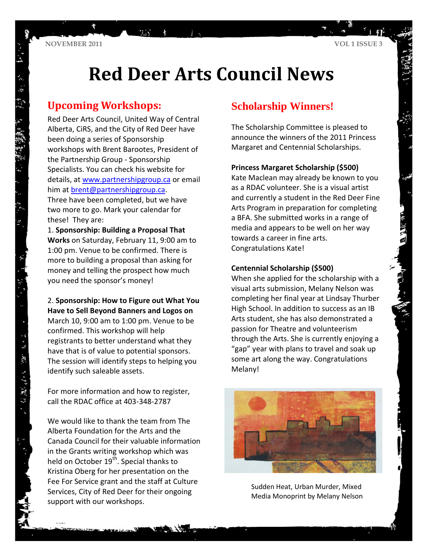贾

**VOL 1 ISSUE 3**

# **Red Deer Arts Council News**

### **Upcoming Workshops:**

Red Deer Arts Council, United Way of Central Alberta, CiRS, and the City of Red Deer have been doing a series of Sponsorship workshops with Brent Barootes, President of the Partnership Group - Sponsorship Specialists. You can check his website for details, at [www.partnershipgroup.ca](http://www.partnershipgroup.ca/) or email him at [brent@partnershipgroup.ca.](mailto:brent@partnershipgroup.ca) Three have been completed, but we have two more to go. Mark your calendar for these! They are:

mar.

1. **Sponsorship: Building a Proposal That Works** on Saturday, February 11, 9:00 am to 1:00 pm. Venue to be confirmed. There is more to building a proposal than asking for money and telling the prospect how much you need the sponsor's money!

#### 2. **Sponsorship: How to Figure out What You Have to Sell Beyond Banners and Logos on**

March 10, 9:00 am to 1:00 pm. Venue to be confirmed. This workshop will help registrants to better understand what they have that is of value to potential sponsors. The session will identify steps to helping you identify such saleable assets.

For more information and how to register, call the RDAC office at 403-348-2787

・ドー 東京 きょげん (草) 分

We would like to thank the team from The Alberta Foundation for the Arts and the Canada Council for their valuable information in the Grants writing workshop which was held on October 19<sup>th</sup>. Special thanks to Kristina Oberg for her presentation on the Fee For Service grant and the staff at Culture Services, City of Red Deer for their ongoing support with our workshops.

### **Scholarship Winners!**

The Scholarship Committee is pleased to announce the winners of the 2011 Princess Margaret and Centennial Scholarships.

#### **Princess Margaret Scholarship (\$500)**

Kate Maclean may already be known to you as a RDAC volunteer. She is a visual artist and currently a student in the Red Deer Fine Arts Program in preparation for completing a BFA. She submitted works in a range of media and appears to be well on her way towards a career in fine arts. Congratulations Kate!

#### **Centennial Scholarship (\$500)**

When she applied for the scholarship with a visual arts submission, Melany Nelson was completing her final year at Lindsay Thurber High School. In addition to success as an IB Arts student, she has also demonstrated a passion for Theatre and volunteerism through the Arts. She is currently enjoying a "gap" year with plans to travel and soak up some art along the way. Congratulations Melany!



Sudden Heat, Urban Murder, Mixed Media Monoprint by Melany Nelson